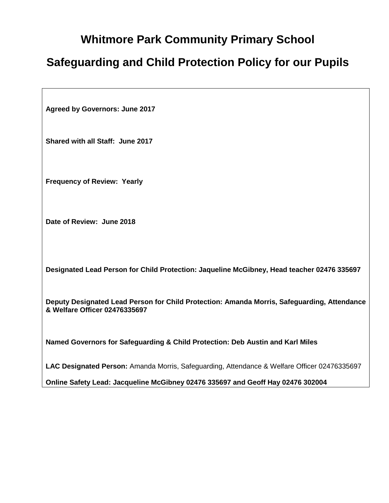# **Whitmore Park Community Primary School**

# **Safeguarding and Child Protection Policy for our Pupils**

**Agreed by Governors: June 2017**

**Shared with all Staff: June 2017**

**Frequency of Review: Yearly**

**Date of Review: June 2018**

**Designated Lead Person for Child Protection: Jaqueline McGibney, Head teacher 02476 335697**

**Deputy Designated Lead Person for Child Protection: Amanda Morris, Safeguarding, Attendance & Welfare Officer 02476335697**

**Named Governors for Safeguarding & Child Protection: Deb Austin and Karl Miles**

**LAC Designated Person:** Amanda Morris, Safeguarding, Attendance & Welfare Officer 02476335697

**Online Safety Lead: Jacqueline McGibney 02476 335697 and Geoff Hay 02476 302004**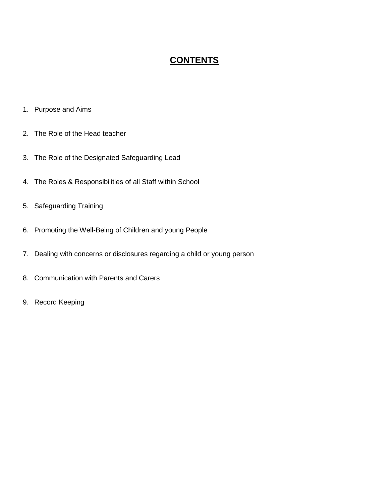# **CONTENTS**

- 1. Purpose and Aims
- 2. The Role of the Head teacher
- 3. The Role of the Designated Safeguarding Lead
- 4. The Roles & Responsibilities of all Staff within School
- 5. Safeguarding Training
- 6. Promoting the Well-Being of Children and young People
- 7. Dealing with concerns or disclosures regarding a child or young person
- 8. Communication with Parents and Carers
- 9. Record Keeping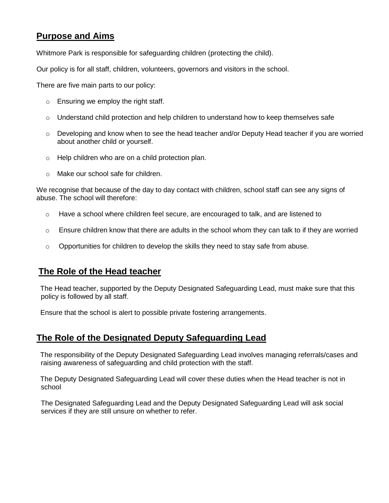### **Purpose and Aims**

Whitmore Park is responsible for safeguarding children (protecting the child).

Our policy is for all staff, children, volunteers, governors and visitors in the school.

There are five main parts to our policy:

- o Ensuring we employ the right staff.
- $\circ$  Understand child protection and help children to understand how to keep themselves safe
- $\circ$  Developing and know when to see the head teacher and/or Deputy Head teacher if you are worried about another child or yourself.
- o Help children who are on a child protection plan.
- o Make our school safe for children.

We recognise that because of the day to day contact with children, school staff can see any signs of abuse. The school will therefore:

- $\circ$  Have a school where children feel secure, are encouraged to talk, and are listened to
- $\circ$  Ensure children know that there are adults in the school whom they can talk to if they are worried
- $\circ$  Opportunities for children to develop the skills they need to stay safe from abuse.

### **The Role of the Head teacher**

 The Head teacher, supported by the Deputy Designated Safeguarding Lead, must make sure that this policy is followed by all staff.

Ensure that the school is alert to possible private fostering arrangements.

### **The Role of the Designated Deputy Safeguarding Lead**

 The responsibility of the Deputy Designated Safeguarding Lead involves managing referrals/cases and raising awareness of safeguarding and child protection with the staff.

 The Deputy Designated Safeguarding Lead will cover these duties when the Head teacher is not in school

The Designated Safeguarding Lead and the Deputy Designated Safeguarding Lead will ask social services if they are still unsure on whether to refer.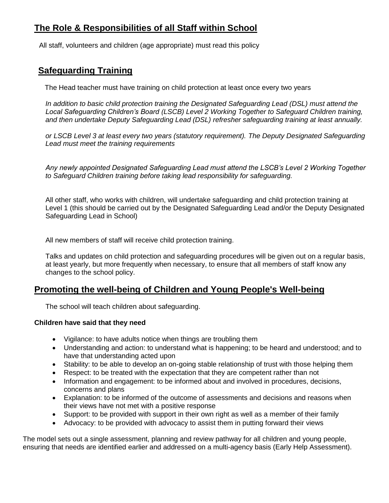# **The Role & Responsibilities of all Staff within School**

All staff, volunteers and children (age appropriate) must read this policy

### **Safeguarding Training**

The Head teacher must have training on child protection at least once every two years

*In addition to basic child protection training the Designated Safeguarding Lead (DSL) must attend the Local Safeguarding Children's Board (LSCB) Level 2 Working Together to Safeguard Children training, and then undertake Deputy Safeguarding Lead (DSL) refresher safeguarding training at least annually.*

*or LSCB Level 3 at least every two years (statutory requirement). The Deputy Designated Safeguarding Lead must meet the training requirements*

*Any newly appointed Designated Safeguarding Lead must attend the LSCB's Level 2 Working Together to Safeguard Children training before taking lead responsibility for safeguarding.* 

All other staff, who works with children, will undertake safeguarding and child protection training at Level 1 (this should be carried out by the Designated Safeguarding Lead and/or the Deputy Designated Safeguarding Lead in School)

All new members of staff will receive child protection training.

Talks and updates on child protection and safeguarding procedures will be given out on a regular basis, at least yearly, but more frequently when necessary, to ensure that all members of staff know any changes to the school policy.

### **Promoting the well-being of Children and Young People's Well-being**

The school will teach children about safeguarding.

#### **Children have said that they need**

- Vigilance: to have adults notice when things are troubling them
- Understanding and action: to understand what is happening; to be heard and understood; and to have that understanding acted upon
- Stability: to be able to develop an on-going stable relationship of trust with those helping them
- Respect: to be treated with the expectation that they are competent rather than not
- Information and engagement: to be informed about and involved in procedures, decisions, concerns and plans
- Explanation: to be informed of the outcome of assessments and decisions and reasons when their views have not met with a positive response
- Support: to be provided with support in their own right as well as a member of their family
- Advocacy: to be provided with advocacy to assist them in putting forward their views

The model sets out a single assessment, planning and review pathway for all children and young people, ensuring that needs are identified earlier and addressed on a multi-agency basis (Early Help Assessment).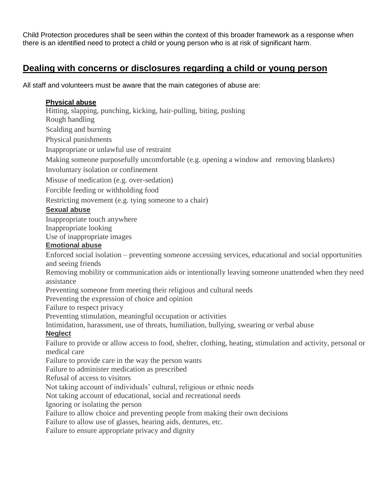Child Protection procedures shall be seen within the context of this broader framework as a response when there is an identified need to protect a child or young person who is at risk of significant harm.

### **Dealing with concerns or disclosures regarding a child or young person**

All staff and volunteers must be aware that the main categories of abuse are:

#### **Physical abuse**

Hitting, slapping, punching, kicking, hair-pulling, biting, pushing

Rough handling

Scalding and burning

Physical punishments

Inappropriate or unlawful use of restraint

Making someone purposefully uncomfortable (e.g. opening a window and removing blankets)

Involuntary isolation or confinement

Misuse of medication (e.g. over-sedation)

Forcible feeding or withholding food

Restricting movement (e.g. tying someone to a chair)

### **Sexual abuse**

Inappropriate touch anywhere Inappropriate looking Use of inappropriate images

### **Emotional abuse**

Enforced social isolation – preventing someone accessing services, educational and social opportunities and seeing friends

Removing mobility or communication aids or intentionally leaving someone unattended when they need assistance

Preventing someone from meeting their religious and cultural needs

Preventing the expression of choice and opinion

Failure to respect privacy

Preventing stimulation, meaningful occupation or activities

Intimidation, harassment, use of threats, humiliation, bullying, swearing or verbal abuse

#### **Neglect**

Failure to provide or allow access to food, shelter, clothing, heating, stimulation and activity, personal or medical care

Failure to provide care in the way the person wants

Failure to administer medication as prescribed

Refusal of access to visitors

Not taking account of individuals' cultural, religious or ethnic needs

Not taking account of educational, social and recreational needs

Ignoring or isolating the person

Failure to allow choice and preventing people from making their own decisions

Failure to allow use of glasses, hearing aids, dentures, etc.

Failure to ensure appropriate privacy and dignity